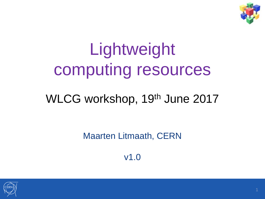

# Lightweight computing resources

#### WLCG workshop, 19<sup>th</sup> June 2017

Maarten Litmaath, CERN

v1.0

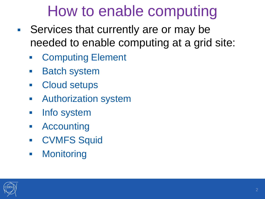## How to enable computing

- Services that currently are or may be needed to enable computing at a grid site:
	- **Example Element**
	- **Batch system**
	- **Cloud setups**
	- **Authorization system**
	- **Info system**
	- Accounting
	- **CVMFS Squid**
	- **-** Monitoring

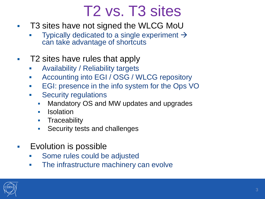#### T2 vs. T3 sites

- T3 sites have not signed the WLCG MoU
	- Typically dedicated to a single experiment  $\rightarrow$ can take advantage of shortcuts
- T2 sites have rules that apply
	- Availability / Reliability targets
	- **Accounting into EGI / OSG / WLCG repository**
	- **EGI: presence in the info system for the Ops VO**
	- **Security regulations** 
		- Mandatory OS and MW updates and upgrades
		- **I**solation
		- **Traceability**
		- Security tests and challenges
- Evolution is possible
	- **Some rules could be adjusted**
	- **The infrastructure machinery can evolve**

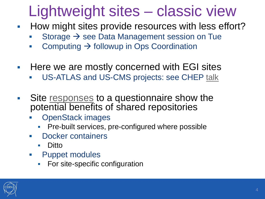## Lightweight sites – classic view

- How might sites provide resources with less effort?
	- Storage  $\rightarrow$  see Data Management session on Tue
	- Computing  $\rightarrow$  followup in Ops Coordination
- **Here we are mostly concerned with EGI sites** 
	- US-ATLAS and US-CMS projects: see CHEP [talk](https://indico.cern.ch/event/505613/contributions/2227413/)
- Site [responses](https://indico.cern.ch/event/540424/#sc-10-1-lightweight-sites-surv) to a questionnaire show the potential benefits of shared repositories
	- OpenStack images
		- Pre-built services, pre-configured where possible
	- **Docker containers** 
		- Ditto
	- **-** Puppet modules
		- For site-specific configuration

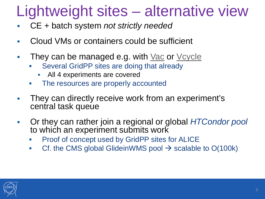### Lightweight sites – alternative view

- CE + batch system *not strictly needed*
- Cloud VMs or containers could be sufficient
- They can be managed e.g. with [Vac](https://www.gridpp.ac.uk/vac/) or [Vcycle](https://www.gridpp.ac.uk/vcycle/)
	- Several GridPP sites are doing that already
		- **All 4 experiments are covered**
	- The resources are properly accounted
- They can directly receive work from an experiment's central task queue
- Or they can rather join a regional or global *HTCondor pool*  to which an experiment submits work
	- Proof of concept used by GridPP sites for ALICE
	- Cf. the CMS global GlideinWMS pool  $\rightarrow$  scalable to O(100k)

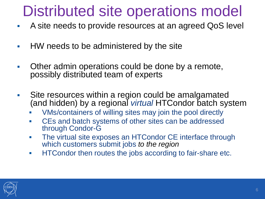#### Distributed site operations model

- A site needs to provide resources at an agreed QoS level
- HW needs to be administered by the site
- **C** Other admin operations could be done by a remote, possibly distributed team of experts
- Site resources within a region could be amalgamated (and hidden) by a regional *virtual* HTCondor batch system
	- VMs/containers of willing sites may join the pool directly
	- CEs and batch systems of other sites can be addressed through Condor-G
	- The virtual site exposes an HTCondor CE interface through which customers submit jobs *to the region*
	- **HTCondor then routes the jobs according to fair-share etc.**

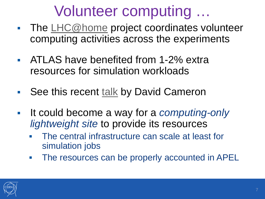#### Volunteer computing …

- The  $LHC@home$  project coordinates volunteer computing activities across the experiments
- ATLAS have benefited from 1-2% extra resources for simulation workloads
- See this recent [talk](https://indico.cern.ch/event/579473/timetable/#50-atlashome) by David Cameron
- It could become a way for a *computing-only lightweight site* to provide its resources
	- The central infrastructure can scale at least for simulation jobs
	- The resources can be properly accounted in APEL

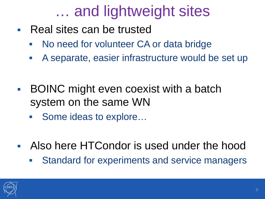## … and lightweight sites

- Real sites can be trusted
	- **No need for volunteer CA or data bridge**
	- A separate, easier infrastructure would be set up
- **BOINC** might even coexist with a batch system on the same WN
	- Some ideas to explore...
- Also here HTCondor is used under the hood
	- **Standard for experiments and service managers**

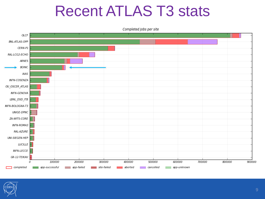#### Recent ATLAS T3 stats





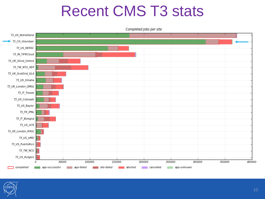#### Recent CMS T3 stats



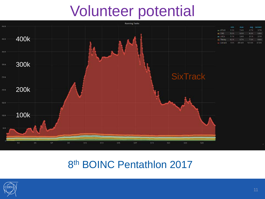#### Volunteer potential



#### 8<sup>th</sup> BOINC Pentathlon 2017